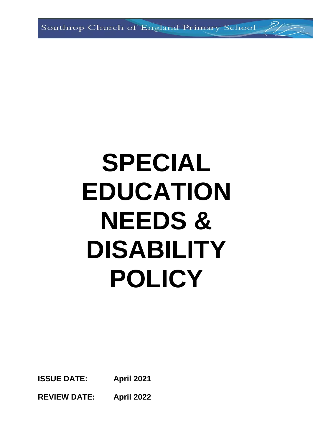Southrop Church of England Primary School

# **SPECIAL EDUCATION NEEDS & DISABILITY POLICY**

**ISSUE DATE: April 2021** 

**REVIEW DATE: April 2022**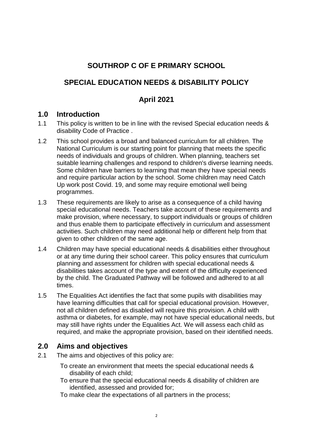# **SOUTHROP C OF E PRIMARY SCHOOL**

# **SPECIAL EDUCATION NEEDS & DISABILITY POLICY**

#### **April 2021**

#### **1.0 Introduction**

- 1.1 This policy is written to be in line with the revised Special education needs & disability Code of Practice .
- 1.2 This school provides a broad and balanced curriculum for all children. The National Curriculum is our starting point for planning that meets the specific needs of individuals and groups of children. When planning, teachers set suitable learning challenges and respond to children's diverse learning needs. Some children have barriers to learning that mean they have special needs and require particular action by the school. Some children may need Catch Up work post Covid. 19, and some may require emotional well being programmes.
- 1.3 These requirements are likely to arise as a consequence of a child having special educational needs. Teachers take account of these requirements and make provision, where necessary, to support individuals or groups of children and thus enable them to participate effectively in curriculum and assessment activities. Such children may need additional help or different help from that given to other children of the same age.
- 1.4 Children may have special educational needs & disabilities either throughout or at any time during their school career. This policy ensures that curriculum planning and assessment for children with special educational needs & disabilities takes account of the type and extent of the difficulty experienced by the child. The Graduated Pathway will be followed and adhered to at all times.
- 1.5 The Equalities Act identifies the fact that some pupils with disabilities may have learning difficulties that call for special educational provision. However, not all children defined as disabled will require this provision. A child with asthma or diabetes, for example, may not have special educational needs, but may still have rights under the Equalities Act. We will assess each child as required, and make the appropriate provision, based on their identified needs.

## **2.0 Aims and objectives**

- 2.1 The aims and objectives of this policy are:
	- To create an environment that meets the special educational needs & disability of each child;
	- To ensure that the special educational needs & disability of children are identified, assessed and provided for;
	- To make clear the expectations of all partners in the process;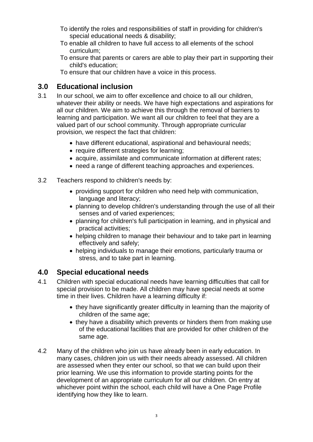- To identify the roles and responsibilities of staff in providing for children's special educational needs & disability;
- To enable all children to have full access to all elements of the school curriculum;
- To ensure that parents or carers are able to play their part in supporting their child's education;

To ensure that our children have a voice in this process.

# **3.0 Educational inclusion**

- 3.1 In our school, we aim to offer excellence and choice to all our children, whatever their ability or needs. We have high expectations and aspirations for all our children. We aim to achieve this through the removal of barriers to learning and participation. We want all our children to feel that they are a valued part of our school community. Through appropriate curricular provision, we respect the fact that children:
	- have different educational, aspirational and behavioural needs;
	- require different strategies for learning;
	- acquire, assimilate and communicate information at different rates;
	- need a range of different teaching approaches and experiences.
- 3.2 Teachers respond to children's needs by:
	- providing support for children who need help with communication, language and literacy;
	- planning to develop children's understanding through the use of all their senses and of varied experiences;
	- planning for children's full participation in learning, and in physical and practical activities;
	- helping children to manage their behaviour and to take part in learning effectively and safely;
	- helping individuals to manage their emotions, particularly trauma or stress, and to take part in learning.

# **4.0 Special educational needs**

- 4.1 Children with special educational needs have learning difficulties that call for special provision to be made. All children may have special needs at some time in their lives. Children have a learning difficulty if:
	- they have significantly greater difficulty in learning than the majority of children of the same age;
	- they have a disability which prevents or hinders them from making use of the educational facilities that are provided for other children of the same age.
- 4.2 Many of the children who join us have already been in early education. In many cases, children join us with their needs already assessed. All children are assessed when they enter our school, so that we can build upon their prior learning. We use this information to provide starting points for the development of an appropriate curriculum for all our children. On entry at whichever point within the school, each child will have a One Page Profile identifying how they like to learn.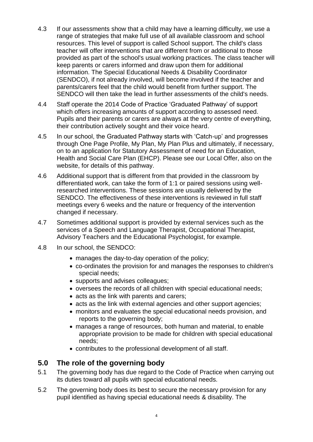- 4.3 If our assessments show that a child may have a learning difficulty, we use a range of strategies that make full use of all available classroom and school resources. This level of support is called School support. The child's class teacher will offer interventions that are different from or additional to those provided as part of the school's usual working practices. The class teacher will keep parents or carers informed and draw upon them for additional information. The Special Educational Needs & Disability Coordinator (SENDCO), if not already involved, will become involved if the teacher and parents/carers feel that the child would benefit from further support. The SENDCO will then take the lead in further assessments of the child's needs.
- 4.4 Staff operate the 2014 Code of Practice 'Graduated Pathway' of support which offers increasing amounts of support according to assessed need. Pupils and their parents or carers are always at the very centre of everything, their contribution actively sought and their voice heard.
- 4.5 In our school, the Graduated Pathway starts with 'Catch-up' and progresses through One Page Profile, My Plan, My Plan Plus and ultimately, if necessary, on to an application for Statutory Assessment of need for an Education, Health and Social Care Plan (EHCP). Please see our Local Offer, also on the website, for details of this pathway.
- 4.6 Additional support that is different from that provided in the classroom by differentiated work, can take the form of 1:1 or paired sessions using wellresearched interventions. These sessions are usually delivered by the SENDCO. The effectiveness of these interventions is reviewed in full staff meetings every 6 weeks and the nature or frequency of the intervention changed if necessary.
- 4.7 Sometimes additional support is provided by external services such as the services of a Speech and Language Therapist, Occupational Therapist, Advisory Teachers and the Educational Psychologist, for example.
- 4.8 In our school, the SENDCO:
	- manages the day-to-day operation of the policy;
	- co-ordinates the provision for and manages the responses to children's special needs;
	- supports and advises colleagues;
	- oversees the records of all children with special educational needs;
	- acts as the link with parents and carers;
	- acts as the link with external agencies and other support agencies;
	- monitors and evaluates the special educational needs provision, and reports to the governing body;
	- manages a range of resources, both human and material, to enable appropriate provision to be made for children with special educational needs;
	- contributes to the professional development of all staff.

## **5.0 The role of the governing body**

- 5.1 The governing body has due regard to the Code of Practice when carrying out its duties toward all pupils with special educational needs.
- 5.2 The governing body does its best to secure the necessary provision for any pupil identified as having special educational needs & disability. The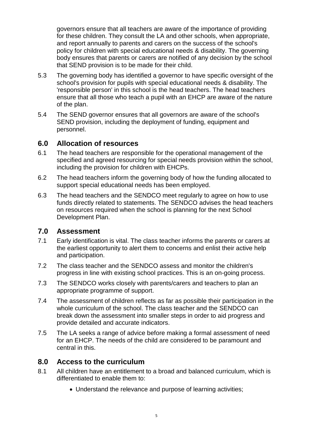governors ensure that all teachers are aware of the importance of providing for these children. They consult the LA and other schools, when appropriate, and report annually to parents and carers on the success of the school's policy for children with special educational needs & disability. The governing body ensures that parents or carers are notified of any decision by the school that SEND provision is to be made for their child.

- 5.3 The governing body has identified a governor to have specific oversight of the school's provision for pupils with special educational needs & disability. The 'responsible person' in this school is the head teachers. The head teachers ensure that all those who teach a pupil with an EHCP are aware of the nature of the plan.
- 5.4 The SEND governor ensures that all governors are aware of the school's SEND provision, including the deployment of funding, equipment and personnel.

#### **6.0 Allocation of resources**

- 6.1 The head teachers are responsible for the operational management of the specified and agreed resourcing for special needs provision within the school, including the provision for children with EHCPs.
- 6.2 The head teachers inform the governing body of how the funding allocated to support special educational needs has been employed.
- 6.3 The head teachers and the SENDCO meet regularly to agree on how to use funds directly related to statements. The SENDCO advises the head teachers on resources required when the school is planning for the next School Development Plan.

#### **7.0 Assessment**

- 7.1 Early identification is vital. The class teacher informs the parents or carers at the earliest opportunity to alert them to concerns and enlist their active help and participation.
- 7.2 The class teacher and the SENDCO assess and monitor the children's progress in line with existing school practices. This is an on-going process.
- 7.3 The SENDCO works closely with parents/carers and teachers to plan an appropriate programme of support.
- 7.4 The assessment of children reflects as far as possible their participation in the whole curriculum of the school. The class teacher and the SENDCO can break down the assessment into smaller steps in order to aid progress and provide detailed and accurate indicators.
- 7.5 The LA seeks a range of advice before making a formal assessment of need for an EHCP. The needs of the child are considered to be paramount and central in this.

#### **8.0 Access to the curriculum**

- 8.1 All children have an entitlement to a broad and balanced curriculum, which is differentiated to enable them to:
	- Understand the relevance and purpose of learning activities;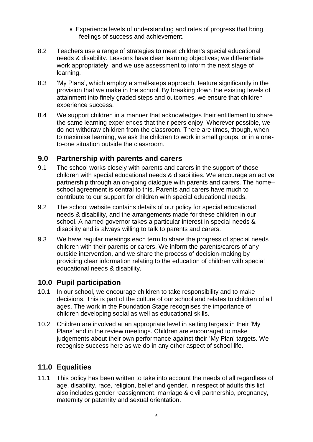- Experience levels of understanding and rates of progress that bring feelings of success and achievement.
- 8.2 Teachers use a range of strategies to meet children's special educational needs & disability. Lessons have clear learning objectives; we differentiate work appropriately, and we use assessment to inform the next stage of learning.
- 8.3 'My Plans', which employ a small-steps approach, feature significantly in the provision that we make in the school. By breaking down the existing levels of attainment into finely graded steps and outcomes, we ensure that children experience success.
- 8.4 We support children in a manner that acknowledges their entitlement to share the same learning experiences that their peers enjoy. Wherever possible, we do not withdraw children from the classroom. There are times, though, when to maximise learning, we ask the children to work in small groups, or in a oneto-one situation outside the classroom.

## **9.0 Partnership with parents and carers**

- 9.1 The school works closely with parents and carers in the support of those children with special educational needs & disabilities. We encourage an active partnership through an on-going dialogue with parents and carers. The home– school agreement is central to this. Parents and carers have much to contribute to our support for children with special educational needs.
- 9.2 The school website contains details of our policy for special educational needs & disability, and the arrangements made for these children in our school. A named governor takes a particular interest in special needs & disability and is always willing to talk to parents and carers.
- 9.3 We have regular meetings each term to share the progress of special needs children with their parents or carers. We inform the parents/carers of any outside intervention, and we share the process of decision-making by providing clear information relating to the education of children with special educational needs & disability.

#### **10.0 Pupil participation**

- 10.1 In our school, we encourage children to take responsibility and to make decisions. This is part of the culture of our school and relates to children of all ages. The work in the Foundation Stage recognises the importance of children developing social as well as educational skills.
- 10.2 Children are involved at an appropriate level in setting targets in their 'My Plans' and in the review meetings. Children are encouraged to make judgements about their own performance against their 'My Plan' targets. We recognise success here as we do in any other aspect of school life.

## **11.0 Equalities**

11.1 This policy has been written to take into account the needs of all regardless of age, disability, race, religion, belief and gender. In respect of adults this list also includes gender reassignment, marriage & civil partnership, pregnancy, maternity or paternity and sexual orientation.